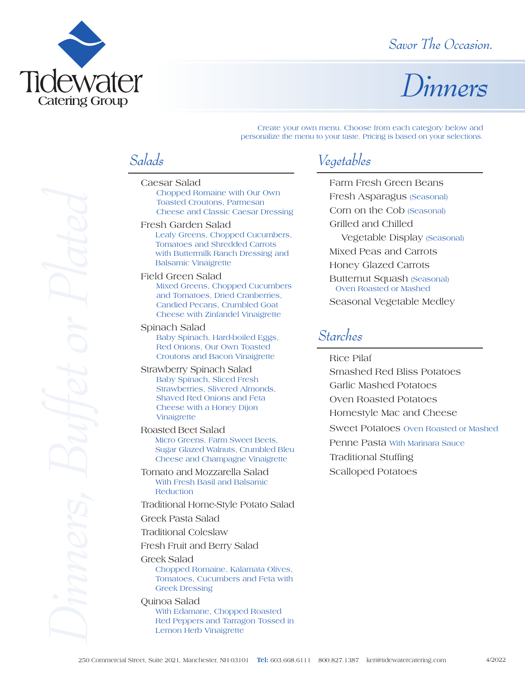

### *Savor The Occasion.*

# *Dinners*

Create your own menu. Choose from each category below and personalize the menu to your taste. Pricing is based on your selections.

## *Salads*

- Caesar Salad Chopped Romaine with Our Own Toasted Croutons, Parmesan Cheese and Classic Caesar Dressing
- Fresh Garden Salad Leafy Greens, Chopped Cucumbers, Tomatoes and Shredded Carrots with Buttermilk Ranch Dressing and Balsamic Vinaigrette
- Field Green Salad Mixed Greens, Chopped Cucumbers and Tomatoes, Dried Cranberries, Candied Pecans, Crumbled Goat Cheese with Zinfandel Vinaigrette

Spinach Salad Baby Spinach, Hard-boiled Eggs, Red Onions, Our Own Toasted Croutons and Bacon Vinaigrette

Strawberry Spinach Salad Baby Spinach, Sliced Fresh Strawberries, Slivered Almonds, Shaved Red Onions and Feta Cheese with a Honey Dijon Vinaigrette

Roasted Beet Salad Micro Greens, Farm Sweet Beets, Sugar Glazed Walnuts, Crumbled Bleu Cheese and Champagne Vinaigrette

Tomato and Mozzarella Salad With Fresh Basil and Balsamic **Reduction** 

Traditional Home-Style Potato Salad

Greek Pasta Salad

Traditional Coleslaw

Fresh Fruit and Berry Salad

Greek Salad Chopped Romaine, Kalamata Olives, Tomatoes, Cucumbers and Feta with Greek Dressing

Quinoa Salad With Edamane, Chopped Roasted Red Peppers and Tarragon Tossed in Lemon Herb Vinaigrette

## *Vegetables*

Farm Fresh Green Beans Fresh Asparagus (Seasonal) Corn on the Cob (Seasonal) Grilled and Chilled Vegetable Display (Seasonal) Mixed Peas and Carrots Honey Glazed Carrots Butternut Squash (Seasonal) Oven Roasted or Mashed Seasonal Vegetable Medley

### *Starches*

Rice Pilaf Smashed Red Bliss Potatoes Garlic Mashed Potatoes Oven Roasted Potatoes Homestyle Mac and Cheese Sweet Potatoes Oven Roasted or Mashed Penne Pasta With Marinara Sauce Traditional Stuffing Scalloped Potatoes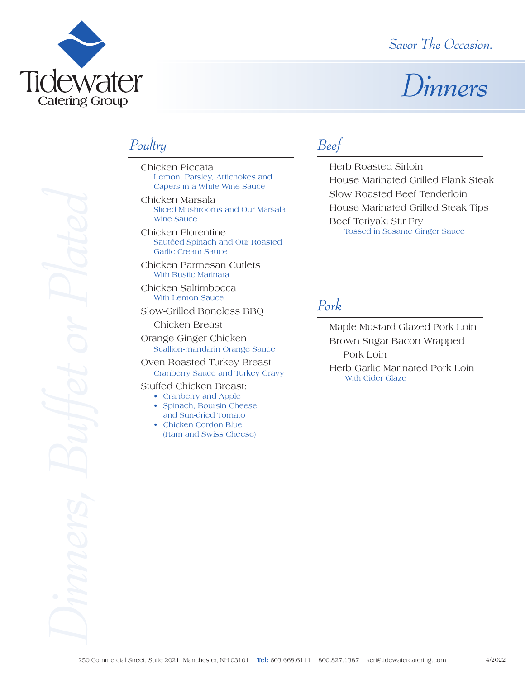

### *Savor The Occasion.*

# *Dinners*

### *Poultry*

- Chicken Piccata Lemon, Parsley, Artichokes and Capers in a White Wine Sauce
- Chicken Marsala Sliced Mushrooms and Our Marsala Wine Sauce
- Chicken Florentine Sautéed Spinach and Our Roasted Garlic Cream Sauce
- Chicken Parmesan Cutlets With Rustic Marinara
- Chicken Saltimbocca With Lemon Sauce
- Slow-Grilled Boneless BBQ
- Chicken Breast Orange Ginger Chicken Scallion-mandarin Orange Sauce
- Oven Roasted Turkey Breast Cranberry Sauce and Turkey Gravy
- Stuffed Chicken Breast:
	- Cranberry and Apple
	- Spinach, Boursin Cheese and Sun-dried Tomato
	- Chicken Cordon Blue (Ham and Swiss Cheese)

### *Beef*

Herb Roasted Sirloin House Marinated Grilled Flank Steak Slow Roasted Beef Tenderloin House Marinated Grilled Steak Tips Beef Teriyaki Stir Fry Tossed in Sesame Ginger Sauce

### *Pork*

Maple Mustard Glazed Pork Loin Brown Sugar Bacon Wrapped Pork Loin Herb Garlic Marinated Pork Loin With Cider Glaze